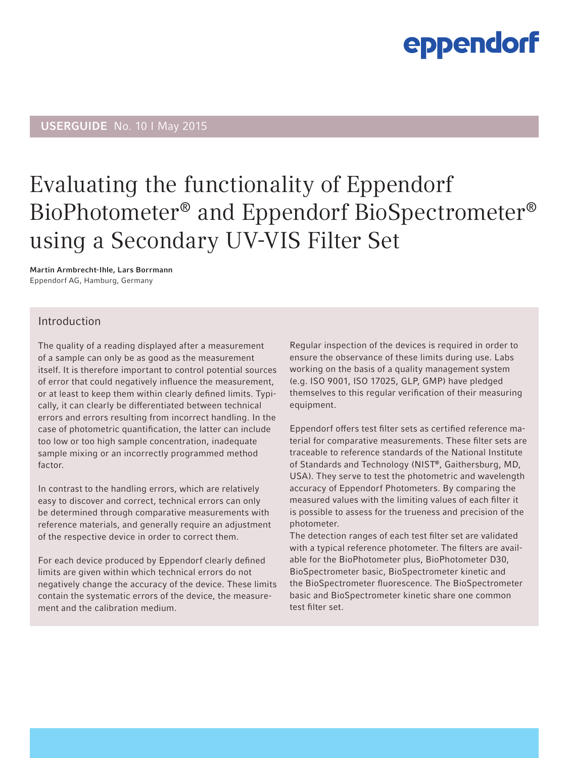### USERGUIDE No. 10 I May 2015

### Evaluating the functionality of Eppendorf BioPhotometer® and Eppendorf BioSpectrometer® using a Secondary UV-VIS Filter Set

Martin Armbrecht-Ihle, Lars Borrmann Eppendorf AG, Hamburg, Germany

### Introduction

The quality of a reading displayed after a measurement of a sample can only be as good as the measurement itself. It is therefore important to control potential sources of error that could negatively influence the measurement, or at least to keep them within clearly defined limits. Typically, it can clearly be differentiated between technical errors and errors resulting from incorrect handling. In the case of photometric quantification, the latter can include too low or too high sample concentration, inadequate sample mixing or an incorrectly programmed method factor.

In contrast to the handling errors, which are relatively easy to discover and correct, technical errors can only be determined through comparative measurements with reference materials, and generally require an adjustment of the respective device in order to correct them.

For each device produced by Eppendorf clearly defined limits are given within which technical errors do not negatively change the accuracy of the device. These limits contain the systematic errors of the device, the measurement and the calibration medium.

Regular inspection of the devices is required in order to ensure the observance of these limits during use. Labs working on the basis of a quality management system (e.g. ISO 9001, ISO 17025, GLP, GMP) have pledged themselves to this regular verification of their measuring equipment.

Eppendorf offers test filter sets as certified reference material for comparative measurements. These filter sets are traceable to reference standards of the National Institute of Standards and Technology (NIST®, Gaithersburg, MD, USA). They serve to test the photometric and wavelength accuracy of Eppendorf Photometers. By comparing the measured values with the limiting values of each filter it is possible to assess for the trueness and precision of the photometer.

The detection ranges of each test filter set are validated with a typical reference photometer. The filters are available for the BioPhotometer plus, BioPhotometer D30, BioSpectrometer basic, BioSpectrometer kinetic and the BioSpectrometer fluorescence. The BioSpectrometer basic and BioSpectrometer kinetic share one common test filter set.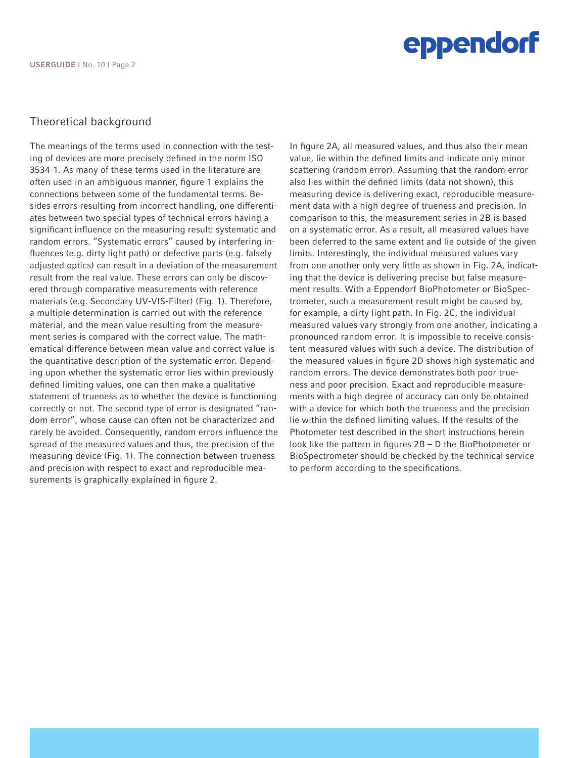### Theoretical background

The meanings of the terms used in connection with the testing of devices are more precisely defined in the norm ISO 3534-1. As many of these terms used in the literature are often used in an ambiguous manner, figure 1 explains the connections between some of the fundamental terms. Besides errors resulting from incorrect handling, one differentiates between two special types of technical errors having a significant influence on the measuring result: systematic and random errors. "Systematic errors" caused by interfering influences (e.g. dirty light path) or defective parts (e.g. falsely adjusted optics) can result in a deviation of the measurement result from the real value. These errors can only be discovered through comparative measurements with reference materials (e.g. Secondary UV-VIS-Filter) (Fig. 1). Therefore, a multiple determination is carried out with the reference material, and the mean value resulting from the measurement series is compared with the correct value. The mathematical difference between mean value and correct value is the quantitative description of the systematic error. Depending upon whether the systematic error lies within previously defined limiting values, one can then make a qualitative statement of trueness as to whether the device is functioning correctly or not. The second type of error is designated "random error", whose cause can often not be characterized and rarely be avoided. Consequently, random errors influence the spread of the measured values and thus, the precision of the measuring device (Fig. 1). The connection between trueness and precision with respect to exact and reproducible measurements is graphically explained in figure 2.

In figure 2A, all measured values, and thus also their mean value, lie within the defined limits and indicate only minor scattering (random error). Assuming that the random error also lies within the defined limits (data not shown), this measuring device is delivering exact, reproducible measurement data with a high degree of trueness and precision. In comparison to this, the measurement series in 2B is based on a systematic error. As a result, all measured values have been deferred to the same extent and lie outside of the given limits. Interestingly, the individual measured values vary from one another only very little as shown in Fig. 2A, indicating that the device is delivering precise but false measurement results. With a Eppendorf BioPhotometer or BioSpectrometer, such a measurement result might be caused by, for example, a dirty light path. In Fig. 2C, the individual measured values vary strongly from one another, indicating a pronounced random error. It is impossible to receive consistent measured values with such a device. The distribution of the measured values in figure 2D shows high systematic and random errors. The device demonstrates both poor trueness and poor precision. Exact and reproducible measurements with a high degree of accuracy can only be obtained with a device for which both the trueness and the precision lie within the defined limiting values. If the results of the Photometer test described in the short instructions herein look like the pattern in figures 2B – D the BioPhotometer or BioSpectrometer should be checked by the technical service to perform according to the specifications.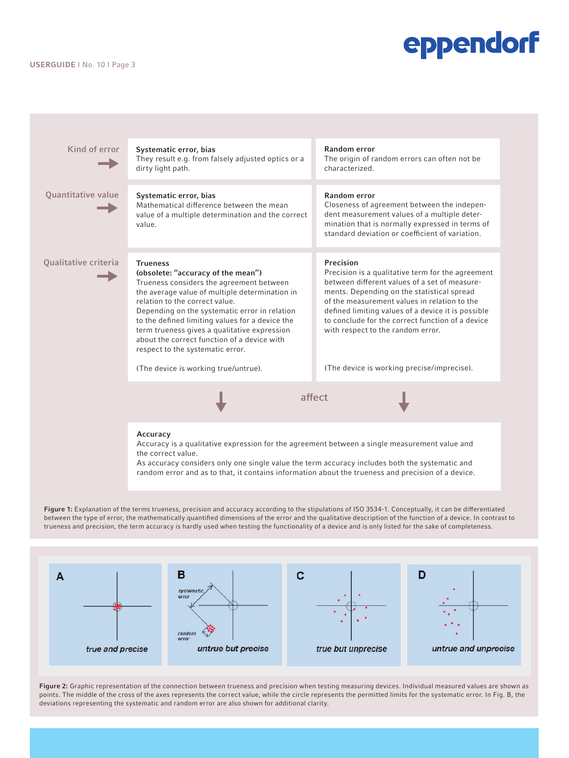#### USERGUIDE I No. 10 I Page 3

 $\rightarrow$ Kind of error Systematic error, bias and the state of the Random error

 $\rightarrow$ 

 $\rightarrow$ 

Systematic error, bias Mathematical difference between the mean value of a multiple determination and the correct value. Quantitative value

dirty light path.

They result e.g. from falsely adjusted optics or a

Qualitative criteria

#### Trueness (obsolete: "accuracy of the mean")

Trueness considers the agreement between the average value of multiple determination in relation to the correct value. Depending on the systematic error in relation to the defined limiting values for a device the

term trueness gives a qualitative expression about the correct function of a device with respect to the systematic error.

(The device is working true/untrue).

characterized.

Random error

Closeness of agreement between the independent measurement values of a multiple determination that is normally expressed in terms of standard deviation or coefficient of variation.

The origin of random errors can often not be

Precision

Precision is a qualitative term for the agreement between different values of a set of measurements. Depending on the statistical spread of the measurement values in relation to the defined limiting values of a device it is possible to conclude for the correct function of a device with respect to the random error.

(The device is working precise/imprecise).

Accuracy

Accuracy is a qualitative expression for the agreement between a single measurement value and the correct value.

 $\begin{array}{ccccc}\n\bullet & & & \text{after} & & \bullet \\
\hline\n\end{array}$ 

As accuracy considers only one single value the term accuracy includes both the systematic and random error and as to that, it contains information about the trueness and precision of a device.

Figure 1: Explanation of the terms trueness, precision and accuracy according to the stipulations of ISO 3534-1. Conceptually, it can be differentiated between the type of error, the mathematically quantified dimensions of the error and the qualitative description of the function of a device. In contrast to trueness and precision, the term accuracy is hardly used when testing the functionality of a device and is only listed for the sake of completeness.



Figure 2: Graphic representation of the connection between trueness and precision when testing measuring devices. Individual measured values are shown as points. The middle of the cross of the axes represents the correct value, while the circle represents the permitted limits for the systematic error. In Fig. B, the deviations representing the systematic and random error are also shown for additional clarity.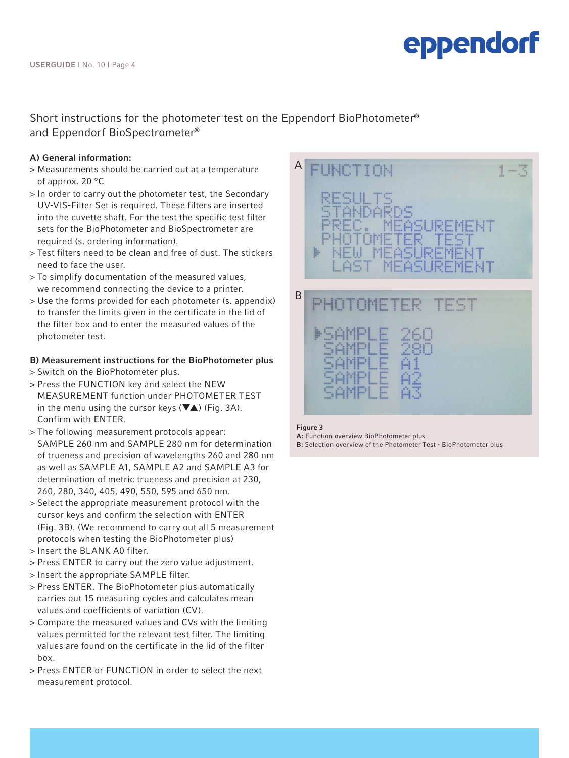### Short instructions for the photometer test on the Eppendorf BioPhotometer® and Eppendorf BioSpectrometer®

### A) General information:

- > Measurements should be carried out at a temperature of approx. 20 °C
- > In order to carry out the photometer test, the Secondary UV-VIS-Filter Set is required. These filters are inserted into the cuvette shaft. For the test the specific test filter sets for the BioPhotometer and BioSpectrometer are required (s. ordering information).
- > Test filters need to be clean and free of dust. The stickers need to face the user.
- > To simplify documentation of the measured values, we recommend connecting the device to a printer.
- > Use the forms provided for each photometer (s. appendix) to transfer the limits given in the certificate in the lid of the filter box and to enter the measured values of the photometer test.

### B) Measurement instructions for the BioPhotometer plus

- > Switch on the BioPhotometer plus.
- > Press the FUNCTION key and select the NEW MEASUREMENT function under PHOTOMETER TEST in the menu using the cursor keys  $(\nabla \triangle)$  (Fig. 3A). Confirm with ENTER.
- > The following measurement protocols appear: SAMPLE 260 nm and SAMPLE 280 nm for determination of trueness and precision of wavelengths 260 and 280 nm as well as SAMPLE A1, SAMPLE A2 and SAMPLE A3 for determination of metric trueness and precision at 230, 260, 280, 340, 405, 490, 550, 595 and 650 nm.
- > Select the appropriate measurement protocol with the cursor keys and confirm the selection with ENTER (Fig. 3B). (We recommend to carry out all 5 measurement protocols when testing the BioPhotometer plus)
- > Insert the BLANK A0 filter.
- > Press ENTER to carry out the zero value adjustment.
- > Insert the appropriate SAMPLE filter.
- > Press ENTER. The BioPhotometer plus automatically carries out 15 measuring cycles and calculates mean values and coefficients of variation (CV).
- > Compare the measured values and CVs with the limiting values permitted for the relevant test filter. The limiting values are found on the certificate in the lid of the filter box.
- > Press ENTER or FUNCTION in order to select the next measurement protocol.



#### Figure 3

A: Function overview BioPhotometer plus B: Selection overview of the Photometer Test - BioPhotometer plus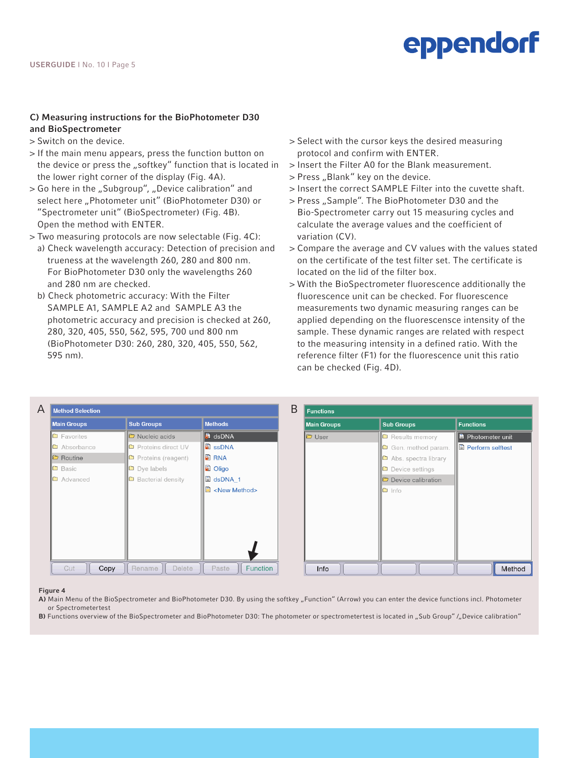### C) Measuring instructions for the BioPhotometer D30 and BioSpectrometer

- > Switch on the device.
- > If the main menu appears, press the function button on the device or press the "softkey" function that is located in the lower right corner of the display (Fig. 4A).
- > Go here in the "Subgroup", "Device calibration" and select here "Photometer unit" (BioPhotometer D30) or "Spectrometer unit" (BioSpectrometer) (Fig. 4B). Open the method with ENTER.
- > Two measuring protocols are now selectable (Fig. 4C): a) Check wavelength accuracy: Detection of precision and trueness at the wavelength 260, 280 and 800 nm. For BioPhotometer D30 only the wavelengths 260
	- and 280 nm are checked. b) Check photometric accuracy: With the Filter SAMPLE A1, SAMPLE A2 and SAMPLE A3 the photometric accuracy and precision is checked at 260, 280, 320, 405, 550, 562, 595, 700 und 800 nm (BioPhotometer D30: 260, 280, 320, 405, 550, 562, 595 nm).
- > Select with the cursor keys the desired measuring protocol and confirm with ENTER.
- > Insert the Filter A0 for the Blank measurement.
- > Press "Blank" key on the device.
- > Insert the correct SAMPLE Filter into the cuvette shaft.
- > Press "Sample". The BioPhotometer D30 and the Bio-Spectrometer carry out 15 measuring cycles and calculate the average values and the coefficient of variation (CV).
- > Compare the average and CV values with the values stated on the certificate of the test filter set. The certificate is located on the lid of the filter box.
- > With the BioSpectrometer fluorescence additionally the fluorescence unit can be checked. For fluorescence measurements two dynamic measuring ranges can be applied depending on the fluorescensce intensity of the sample. These dynamic ranges are related with respect to the measuring intensity in a defined ratio. With the reference filter (F1) for the fluorescence unit this ratio can be checked (Fig. 4D).

| Α | <b>Method Selection</b>                        |                           |                       | B | <b>Functions</b>   |                             |                          |  |
|---|------------------------------------------------|---------------------------|-----------------------|---|--------------------|-----------------------------|--------------------------|--|
|   | <b>Main Groups</b>                             | <b>Sub Groups</b>         | <b>Methods</b>        |   | <b>Main Groups</b> | <b>Sub Groups</b>           | <b>Functions</b>         |  |
|   | $\Box$ Favorites                               | Nucleic acids             | <b>B</b> dsDNA        |   | <b>D</b> User      | <b>D</b> Results memory     | <b>B</b> Photometer unit |  |
|   | Ia<br>Absorbance                               | Proteins direct UV<br>□   | <b>B</b> ssDNA        |   |                    | Gen. method param.          | Il Perform selftest      |  |
|   | $\Box$ Routine                                 | $\Box$ Proteins (reagent) | <b>E</b> RNA          |   |                    | Abs. spectra library        |                          |  |
|   | $\Box$ Basic                                   | $\n  Dye$ labels          | <b>D</b> Oligo        |   |                    | Device settings             |                          |  |
|   | <b>Bacterial density</b><br>Advanced<br>$\Box$ |                           | IÐ<br>dsDNA 1         |   |                    | <b>D</b> Device calibration |                          |  |
|   |                                                |                           | <new method=""></new> |   |                    | $\Box$ Info                 |                          |  |
|   | Cut<br>Copy                                    | Delete<br>Rename          | Paste<br>Function     |   | Info               |                             | Method                   |  |

#### Figure 4

- A) Main Menu of the BioSpectrometer and BioPhotometer D30. By using the softkey "Function" (Arrow) you can enter the device functions incl. Photometer or Spectrometertest
- B) Functions overview of the BioSpectrometer and BioPhotometer D30: The photometer or spectrometertest is located in "Sub Group" /"Device calibration"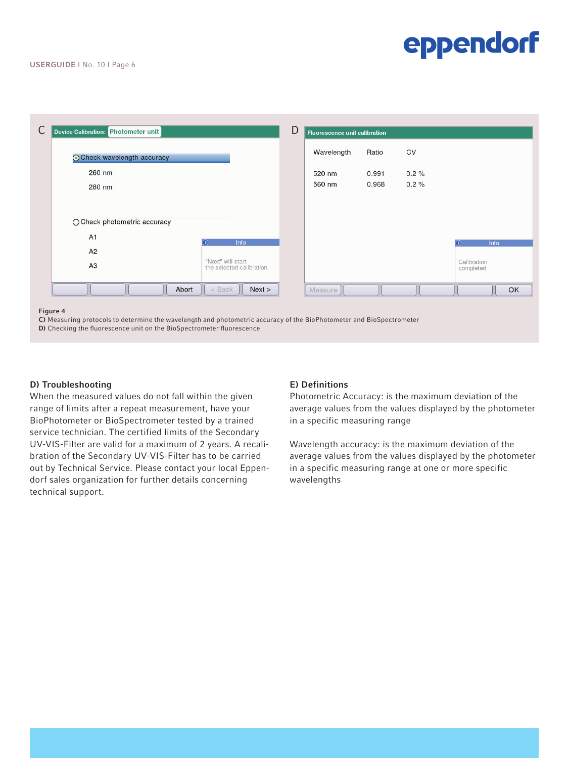| С | Device Calibration: Photometer unit |                                                | D | <b>Fluorescence unit calibration</b> |       |      |                          |
|---|-------------------------------------|------------------------------------------------|---|--------------------------------------|-------|------|--------------------------|
|   | ⊙ Check wavelength accuracy         |                                                |   | Wavelength                           | Ratio | CV   |                          |
|   | 260 nm                              |                                                |   | 520 nm                               | 0.991 | 0.2% |                          |
|   | 280 nm                              |                                                |   | 560 nm                               | 0.968 | 0.2% |                          |
|   |                                     |                                                |   |                                      |       |      |                          |
|   |                                     |                                                |   |                                      |       |      |                          |
|   | ○ Check photometric accuracy        |                                                |   |                                      |       |      |                          |
|   | A <sub>1</sub>                      | Info<br>$\left( \mathbf{r} \right)$            |   |                                      |       |      | <b>Info</b>              |
|   | A2                                  |                                                |   |                                      |       |      |                          |
|   | A3                                  | "Next" will start<br>the selected calibration. |   |                                      |       |      | Calibration<br>completed |
|   |                                     |                                                |   |                                      |       |      |                          |
|   | Abort                               | < Back<br>Next >                               |   | Measure                              |       |      | OK                       |
|   |                                     |                                                |   |                                      |       |      |                          |

#### Figure 4

C) Measuring protocols to determine the wavelength and photometric accuracy of the BioPhotometer and BioSpectrometer D) Checking the fluorescence unit on the BioSpectrometer fluorescence

#### D) Troubleshooting

When the measured values do not fall within the given range of limits after a repeat measurement, have your BioPhotometer or BioSpectrometer tested by a trained service technician. The certified limits of the Secondary UV-VIS-Filter are valid for a maximum of 2 years. A recalibration of the Secondary UV-VIS-Filter has to be carried out by Technical Service. Please contact your local Eppendorf sales organization for further details concerning technical support.

#### E) Definitions

Photometric Accuracy: is the maximum deviation of the average values from the values displayed by the photometer in a specific measuring range

Wavelength accuracy: is the maximum deviation of the average values from the values displayed by the photometer in a specific measuring range at one or more specific wavelengths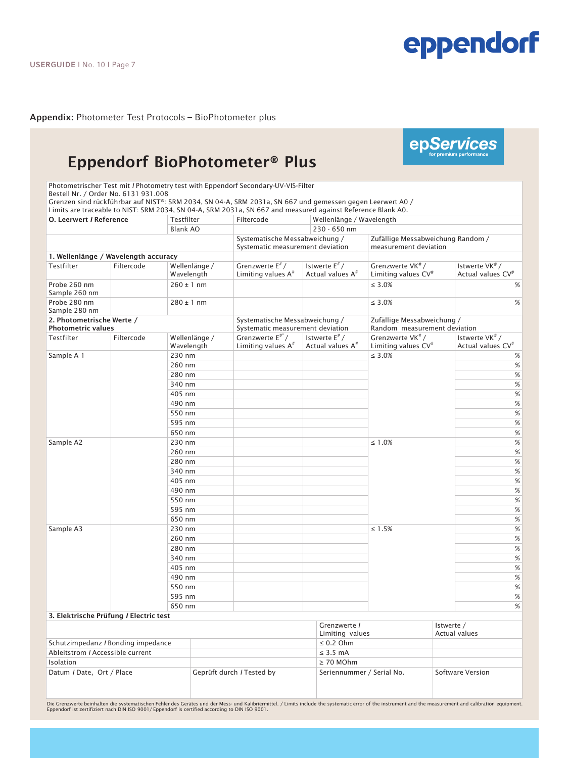epServices

Appendix: Photometer Test Protocols – BioPhotometer plus<br>————————————————————

### Eppendorf BioPhotometer® Plus

Photometrischer Test mit *I* Photometry test with Eppendorf Secondary-UV-VIS-Filter Bestell Nr. / Order No. 6131 931.008

Grenzen sind rückführbar auf NIST®: SRM 2034, SN 04-A, SRM 2031a, SN 667 und gemessen gegen Leerwert A0 /

Limits are traceable to NIST: SRM 2034, SN 04-A, SRM 2031a, SN 667 and measured against Reference Blank A0. O. Leerwert *I* Reference Testfilter Filtercode Wellenlänge / Wavelength Blank AO 230 - 650 nm Systematische Messabweichung / Systematic measurement deviation Zufällige Messabweichung Random / measurement deviation 1. Wellenlänge / Wavelength accuracy Testfilter Filtercode Wellenlänge Wavelength Grenzwerte E# / Limiting values  $A^*$ Istwerte E# / Actual values A# Grenzwerte VK# / Limiting values  $CV^*$ Istwerte VK# / Actual values CV# Probe 260 nm Sample 260 nm  $260 \pm 1$  nm  $\frac{1}{260}$  and  $\frac{1}{260}$  s  $\frac{1}{260}$  s  $\frac{1}{260}$  s  $\frac{1}{260}$  s  $\frac{1}{260}$  s  $\frac{1}{260}$  s  $\frac{1}{260}$  s  $\frac{1}{260}$  s  $\frac{1}{260}$  s  $\frac{1}{260}$  s  $\frac{1}{260}$  s  $\frac{1}{260}$  s  $\frac{1}{260}$  s  $\frac{1}{260}$ Probe 280 nm Sample 280 nm  $280 \pm 1 \text{ nm}$  % 2. Photometrische Werte / Photometric values Systematische Messabweichung / Systematic measurement deviation Zufällige Messabweichung / Random measurement deviation Testfilter Filtercode Wellenlänge / Wavelength Grenzwerte  $E^{\#^n}/$ Limiting values  $A^*$ Istwerte  $E^{\#}$ / Actual values A# Grenzwerte VK# / Limiting values  $CV^*$ Istwerte VK# / Actual values CV# Sample A 1  $\qquad$   $\qquad$  230 nm  $\qquad$   $\le$  3.0%  $\qquad$ 260 nm % 280 nm % 340 nm % 405 nm % 490 nm % 550 nm % 595 nm % 650 nm % Sample A2 230 nm ≤ 1.0% % 260 nm  $\sim$  260 nm  $\sim$  260 nm  $\sim$  260 nm  $\sim$  260 nm  $\sim$ 280 nm  $\sim$  280 nm  $\sim$  280 nm  $\sim$  280 nm  $\sim$  280 nm  $\sim$ 340 nm % 405 nm % 490 nm % 550 nm % 595 nm % 650 nm % Sample A3  $230 \text{ nm}$   $230 \text{ nm}$   $4 \leq 1.5\%$   $50 \leq 1.5\%$   $60 \leq 1.5\%$ 260 nm % 280 nm % 340 nm % 405 nm % 490 nm % 550 nm % 595 nm % 650 nm %

#### 3. Elektrische Prüfung *I* Electric test Grenzwerte *I* Limiting values Istwerte / Actual values Schutzimpedanz *I* Bonding impedance ≤ 0.2 Ohm Ableitstrom *I* Accessible current ≤ 3.5 mA Isolation ≥ 70 MOhm Datum *I* Date, Ort / Place Geprüft durch *I* Tested by Seriennummer / Serial No. Software Version

Die Grenzwerte beinhalten die systematischen Fehler des Gerätes und der Mess- und Kalibriermittel. / Limits include the systematic error of the instrument and the measurement and calibration equipment.<br>Eppendorf ist zertif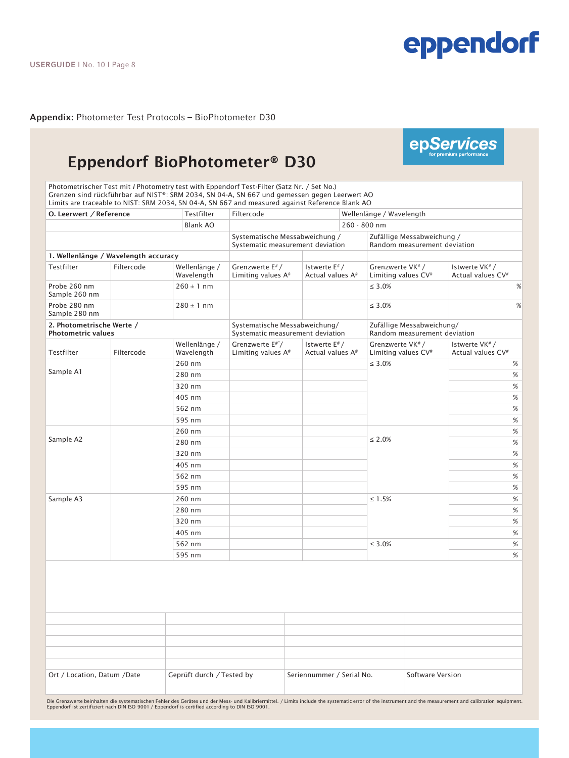epServices

**Appendix:** Photometer Test Protocols – BioPhotometer D30

### Eppendorf BioPhotometer® D30

Photometrischer Test mit *I* Photometry test with Eppendorf Test-Filter (Satz Nr. / Set No.) Grenzen sind rückführbar auf NIST®: SRM 2034, SN 04-A, SN 667 und gemessen gegen Leerwert AO Limits are traceable to NIST: SRM 2034, SN 04-A, SN 667 and measured against Reference Blank AO

| O. Leerwert / Reference                                |                                      | Testfilter                  | Filtercode                                                         |                                                 | Wellenlänge / Wavelength                                        |                                                             |  |  |
|--------------------------------------------------------|--------------------------------------|-----------------------------|--------------------------------------------------------------------|-------------------------------------------------|-----------------------------------------------------------------|-------------------------------------------------------------|--|--|
|                                                        |                                      | <b>Blank AO</b>             |                                                                    |                                                 | 260 - 800 nm                                                    |                                                             |  |  |
|                                                        |                                      |                             | Systematische Messabweichung /<br>Systematic measurement deviation |                                                 |                                                                 | Zufällige Messabweichung /<br>Random measurement deviation  |  |  |
|                                                        | 1. Wellenlänge / Wavelength accuracy |                             |                                                                    |                                                 |                                                                 |                                                             |  |  |
| Testfilter                                             | Filtercode                           | Wellenlänge /<br>Wavelength | Grenzwerte E#/<br>Limiting values A <sup>#</sup>                   | Istwerte E#/<br>Actual values A <sup>#</sup>    | Grenzwerte VK <sup>#</sup> /<br>Limiting values CV <sup>#</sup> | Istwerte VK <sup>#</sup> /<br>Actual values CV <sup>#</sup> |  |  |
| Probe 260 nm<br>Sample 260 nm                          |                                      | $260 \pm 1$ nm              |                                                                    |                                                 | $\leq 3.0\%$                                                    | %                                                           |  |  |
| Probe 280 nm<br>Sample 280 nm                          |                                      | $280 \pm 1$ nm              |                                                                    |                                                 | $\leq 3.0\%$                                                    | %                                                           |  |  |
| 2. Photometrische Werte /<br><b>Photometric values</b> |                                      |                             | Systematische Messabweichung/<br>Systematic measurement deviation  |                                                 | Zufällige Messabweichung/<br>Random measurement deviation       |                                                             |  |  |
| Testfilter                                             | Filtercode                           | Wellenlänge /<br>Wavelength | Grenzwerte E#"/<br>Limiting values A <sup>#</sup>                  | Istwerte $E^*/$<br>Actual values A <sup>#</sup> | Grenzwerte VK <sup>#</sup> /<br>Limiting values CV <sup>#</sup> | Istwerte VK <sup>#</sup> /<br>Actual values CV <sup>#</sup> |  |  |
|                                                        |                                      | 260 nm                      |                                                                    |                                                 | $\leq 3.0\%$                                                    | %                                                           |  |  |
| Sample A1                                              |                                      | 280 nm                      |                                                                    |                                                 |                                                                 | %                                                           |  |  |
|                                                        |                                      | 320 nm                      |                                                                    |                                                 |                                                                 | $\%$                                                        |  |  |
|                                                        |                                      | 405 nm                      |                                                                    |                                                 |                                                                 | $\%$                                                        |  |  |
|                                                        |                                      | 562 nm                      |                                                                    |                                                 |                                                                 | $\%$                                                        |  |  |
|                                                        |                                      | 595 nm                      |                                                                    |                                                 |                                                                 | %                                                           |  |  |
|                                                        |                                      | 260 nm                      |                                                                    |                                                 |                                                                 | %                                                           |  |  |
| Sample A2                                              |                                      | 280 nm                      |                                                                    |                                                 | $\leq 2.0\%$                                                    | $\%$                                                        |  |  |
|                                                        |                                      | 320 nm                      |                                                                    |                                                 |                                                                 | $\%$                                                        |  |  |
|                                                        |                                      | 405 nm                      |                                                                    |                                                 |                                                                 | %                                                           |  |  |
|                                                        |                                      | 562 nm                      |                                                                    |                                                 |                                                                 | %                                                           |  |  |
|                                                        |                                      | 595 nm                      |                                                                    |                                                 |                                                                 | $\%$                                                        |  |  |
| Sample A3                                              |                                      | 260 nm                      |                                                                    |                                                 | $\leq 1.5\%$                                                    | %                                                           |  |  |
|                                                        |                                      | 280 nm                      |                                                                    |                                                 |                                                                 | $\%$                                                        |  |  |
|                                                        |                                      | 320 nm                      |                                                                    |                                                 |                                                                 | $\%$                                                        |  |  |
|                                                        |                                      | 405 nm                      |                                                                    |                                                 |                                                                 | %                                                           |  |  |
|                                                        |                                      | 562 nm                      |                                                                    |                                                 | $\leq 3.0\%$                                                    | $\%$                                                        |  |  |
|                                                        |                                      | 595 nm                      |                                                                    |                                                 |                                                                 | %                                                           |  |  |

| Ort / Location, Datum /Date | Geprüft durch / Tested by | Seriennummer / Serial No. | Software Version |
|-----------------------------|---------------------------|---------------------------|------------------|

Die Grenzwerte beinhalten die systematischen Fehler des Gerätes und der Mess- und Kalibriermittel. / Limits include the systematic error of the instrument and the measurement and calibration equipment.<br>Eppendorf ist zertif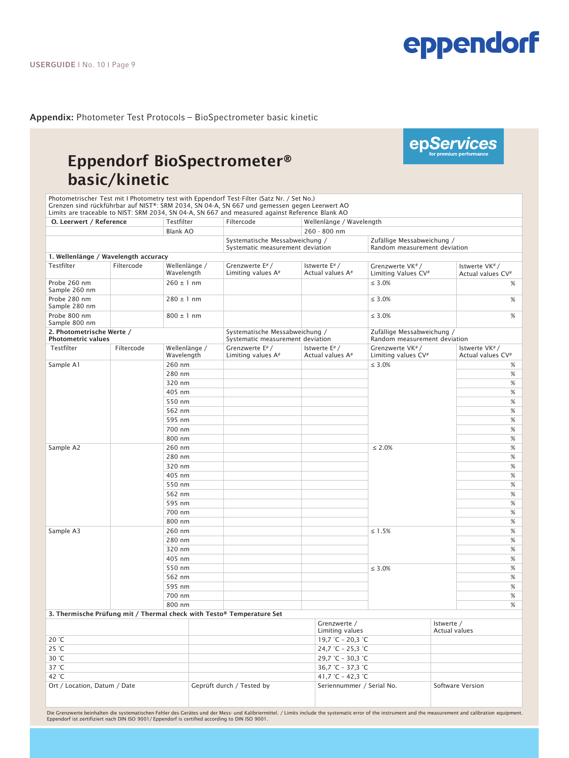# **Appendix:** Photometer Test Protocols – BioSpectrometer basic kinetic<br>————————————————————

### Eppendorf BioSpectrometer® basic/kinetic

Photometrischer Test mit I Photometry test with Eppendorf Test-Filter (Satz Nr. / Set No.) Grenzen sind rückführbar auf NIST®: SRM 2034, SN 04-A, SN 667 und gemessen gegen Leerwert AO Limits are traceable to NIST: SRM 2034, SN 04-A, SN 667 and measured against Reference Blank AO

| O. Leerwert / Reference                                |            | Testfilter                  | Filtercode                                                            | Wellenlänge / Wavelength                     |                                                            |                                                |  |
|--------------------------------------------------------|------------|-----------------------------|-----------------------------------------------------------------------|----------------------------------------------|------------------------------------------------------------|------------------------------------------------|--|
|                                                        |            | <b>Blank AO</b>             |                                                                       | 260 - 800 nm                                 |                                                            |                                                |  |
|                                                        |            |                             | Systematische Messabweichung /<br>Systematic measurement deviation    |                                              | Zufällige Messabweichung /<br>Random measurement deviation |                                                |  |
| 1. Wellenlänge / Wavelength accuracy                   |            |                             |                                                                       |                                              |                                                            |                                                |  |
| Testfilter                                             | Filtercode | Wellenlänge /<br>Wavelength | Grenzwerte E# /<br>Limiting values $A^*$                              | Istwerte E#/<br>Actual values A <sup>#</sup> | Grenzwerte VK#/<br>Limiting Values CV <sup>#</sup>         | Istwerte VK#/<br>Actual values CV <sup>#</sup> |  |
| Probe 260 nm<br>Sample 260 nm                          |            | $260 \pm 1$ nm              |                                                                       |                                              | $\leq 3.0\%$                                               | %                                              |  |
| Probe 280 nm<br>Sample 280 nm                          |            | $280 \pm 1$ nm              |                                                                       |                                              | $\leq 3.0\%$                                               | %                                              |  |
| Probe 800 nm<br>Sample 800 nm                          |            | $800 \pm 1$ nm              |                                                                       |                                              | $\leq 3.0\%$                                               | %                                              |  |
| 2. Photometrische Werte /<br><b>Photometric values</b> |            |                             | Systematische Messabweichung /<br>Systematic measurement deviation    |                                              | Zufällige Messabweichung /<br>Random measurement deviation |                                                |  |
| Testfilter                                             | Filtercode | Wellenlänge /<br>Wavelength | Grenzwerte E# /<br>Limiting values A#                                 | Istwerte E#/<br>Actual values A <sup>#</sup> | Grenzwerte VK#/<br>Limiting values CV <sup>#</sup>         | Istwerte VK#/<br>Actual values CV <sup>#</sup> |  |
| Sample A1                                              |            | 260 nm                      |                                                                       |                                              | $\leq 3.0\%$                                               | $\%$                                           |  |
|                                                        |            | 280 nm                      |                                                                       |                                              |                                                            | $\%$                                           |  |
|                                                        |            | 320 nm                      |                                                                       |                                              |                                                            | $\%$                                           |  |
|                                                        |            | 405 nm                      |                                                                       |                                              |                                                            | %                                              |  |
|                                                        |            | 550 nm                      |                                                                       |                                              |                                                            | $\%$                                           |  |
|                                                        |            | 562 nm                      |                                                                       |                                              |                                                            | $\%$                                           |  |
|                                                        |            | 595 nm                      |                                                                       |                                              |                                                            | %                                              |  |
|                                                        |            | 700 nm                      |                                                                       |                                              |                                                            | $\%$                                           |  |
|                                                        |            | 800 nm                      |                                                                       |                                              |                                                            | $\%$                                           |  |
| Sample A2                                              |            | 260 nm                      |                                                                       |                                              | $\leq 2.0\%$                                               | $\%$                                           |  |
|                                                        |            | 280 nm                      |                                                                       |                                              |                                                            | $\%$                                           |  |
|                                                        |            | 320 nm                      |                                                                       |                                              |                                                            | $\%$                                           |  |
|                                                        |            | 405 nm                      |                                                                       |                                              |                                                            | $\%$                                           |  |
|                                                        |            | 550 nm                      |                                                                       |                                              |                                                            | %                                              |  |
|                                                        |            | 562 nm                      |                                                                       |                                              |                                                            | $\%$                                           |  |
|                                                        |            | 595 nm                      |                                                                       |                                              |                                                            | $\%$                                           |  |
|                                                        |            | 700 nm<br>800 nm            |                                                                       |                                              |                                                            | $\%$<br>$\%$                                   |  |
| Sample A3                                              |            | 260 nm                      |                                                                       |                                              | $\leq 1.5\%$                                               | $\%$                                           |  |
|                                                        |            | 280 nm                      |                                                                       |                                              |                                                            | %                                              |  |
|                                                        |            | 320 nm                      |                                                                       |                                              |                                                            | $\%$                                           |  |
|                                                        |            | 405 nm                      |                                                                       |                                              |                                                            | $\%$                                           |  |
|                                                        |            | 550 nm                      |                                                                       |                                              | $\leq 3.0\%$                                               | $\%$                                           |  |
|                                                        |            | 562 nm                      |                                                                       |                                              |                                                            | $\%$                                           |  |
|                                                        |            | 595 nm                      |                                                                       |                                              |                                                            | $\%$                                           |  |
|                                                        |            | 700 nm                      |                                                                       |                                              |                                                            | $\%$                                           |  |
|                                                        |            | 800 nm                      |                                                                       |                                              |                                                            | %                                              |  |
|                                                        |            |                             | 3. Thermische Prüfung mit / Thermal check with Testo® Temperature Set |                                              |                                                            |                                                |  |
|                                                        |            |                             |                                                                       | Grenzwerte /                                 |                                                            | Istwerte /                                     |  |

Limiting values Actual values 20 °C 19,7 °C – 20,3 °C 25 °C 25,3 °C 30 °C 29,7 °C – 30,3 °C 37 °C 37,3 °C 42 °C 42,3 °C Ort / Location, Datum / Date Geprüft durch / Tested by Seriennummer / Serial No. Software Version

Die Grenzwerte beinhalten die systematischen Fehler des Gerätes und der Mess- und Kalibriermittel. / Limits include the systematic error of the instrument and the measurement and calibration equipment.<br>Eppendorf ist zertif

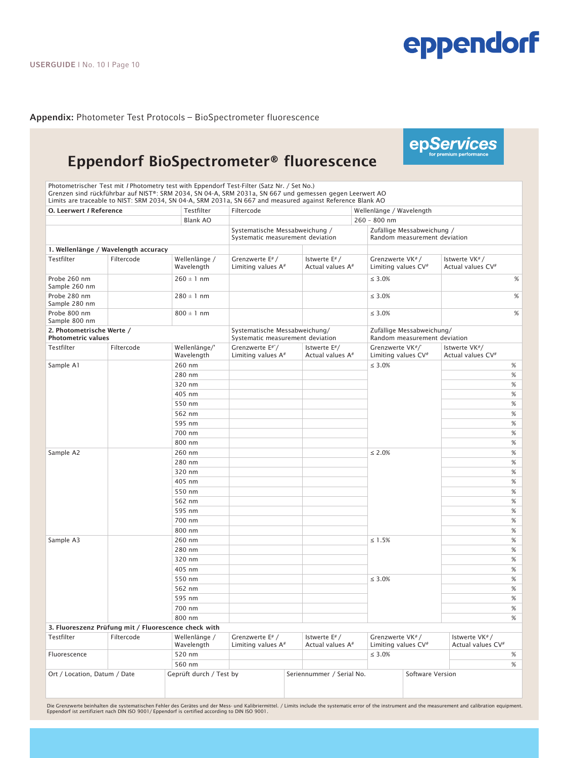epServices

**Appendix:** Photometer Test Protocols – BioSpectrometer fluorescence<br>————————————————————

### Eppendorf BioSpectrometer® fluorescence

Photometrischer Test mit *I* Photometry test with Eppendorf Test-Filter (Satz Nr. / Set No.) Grenzen sind rückführbar auf NIST®: SRM 2034, SN 04-A, SRM 2031a, SN 667 und gemessen gegen Leerwert AO Limits are traceable to NIST: SRM 2034, SN 04-A, SRM 2031a, SN 667 and measured against Reference Blank AO

| O. Leerwert / Reference                                |                                                      | Testfilter                  | Filtercode                                                         |                                              | Wellenlänge / Wavelength                                   |                                                |  |
|--------------------------------------------------------|------------------------------------------------------|-----------------------------|--------------------------------------------------------------------|----------------------------------------------|------------------------------------------------------------|------------------------------------------------|--|
|                                                        |                                                      | <b>Blank AO</b>             |                                                                    |                                              | 260 - 800 nm                                               |                                                |  |
|                                                        |                                                      |                             | Systematische Messabweichung /<br>Systematic measurement deviation |                                              | Zufällige Messabweichung /<br>Random measurement deviation |                                                |  |
|                                                        | 1. Wellenlänge / Wavelength accuracy                 |                             |                                                                    |                                              |                                                            |                                                |  |
| Testfilter                                             | Filtercode                                           | Wellenlänge /<br>Wavelength | Grenzwerte E#/<br>Limiting values A <sup>#</sup>                   | Istwerte E#/<br>Actual values A <sup>#</sup> | Grenzwerte VK#/<br>Limiting values CV <sup>#</sup>         | Istwerte VK#/<br>Actual values CV <sup>#</sup> |  |
| Probe 260 nm<br>Sample 260 nm                          |                                                      | $260 \pm 1$ nm              |                                                                    |                                              | $\leq 3.0\%$                                               | %                                              |  |
| Probe 280 nm<br>Sample 280 nm                          |                                                      | $280 \pm 1$ nm              |                                                                    |                                              | $\leq 3.0\%$                                               | %                                              |  |
| Probe 800 nm<br>Sample 800 nm                          |                                                      | $800 \pm 1$ nm              |                                                                    |                                              | $\leq 3.0\%$                                               | %                                              |  |
| 2. Photometrische Werte /<br><b>Photometric values</b> |                                                      |                             | Systematische Messabweichung/<br>Systematic measurement deviation  |                                              | Zufällige Messabweichung/<br>Random measurement deviation  |                                                |  |
| Testfilter                                             | Filtercode                                           | Wellenlänge/'<br>Wavelength | Grenzwerte E#"/<br>Limiting values $A^*$                           | Istwerte $E^*/$<br>Actual values A#          | Grenzwerte VK#/<br>Limiting values CV <sup>#</sup>         | Istwerte VK#/<br>Actual values CV <sup>#</sup> |  |
| Sample A1                                              |                                                      | 260 nm                      |                                                                    |                                              | $\leq 3.0\%$                                               | $\%$                                           |  |
|                                                        |                                                      | 280 nm                      |                                                                    |                                              |                                                            | $\%$                                           |  |
|                                                        |                                                      | 320 nm                      |                                                                    |                                              |                                                            | $\%$                                           |  |
|                                                        |                                                      | 405 nm                      |                                                                    |                                              |                                                            | $\%$                                           |  |
|                                                        |                                                      | 550 nm                      |                                                                    |                                              |                                                            | $\%$                                           |  |
|                                                        |                                                      | 562 nm                      |                                                                    |                                              |                                                            | $\%$                                           |  |
|                                                        |                                                      | 595 nm                      |                                                                    |                                              |                                                            | $\%$                                           |  |
|                                                        |                                                      | 700 nm                      |                                                                    |                                              |                                                            | $\%$                                           |  |
|                                                        |                                                      | 800 nm                      |                                                                    |                                              |                                                            | $\%$                                           |  |
| Sample A2                                              |                                                      | 260 nm                      |                                                                    |                                              | $\leq 2.0\%$                                               | $\%$                                           |  |
|                                                        |                                                      | 280 nm                      |                                                                    |                                              |                                                            | $\%$                                           |  |
|                                                        |                                                      | 320 nm                      |                                                                    |                                              |                                                            | $\%$                                           |  |
|                                                        |                                                      | 405 nm                      |                                                                    |                                              |                                                            | $\%$                                           |  |
|                                                        |                                                      | 550 nm                      |                                                                    |                                              |                                                            | $\%$                                           |  |
|                                                        |                                                      | 562 nm                      |                                                                    |                                              |                                                            | $\%$                                           |  |
|                                                        |                                                      | 595 nm                      |                                                                    |                                              |                                                            | $\%$                                           |  |
|                                                        |                                                      | 700 nm                      |                                                                    |                                              |                                                            | $\%$                                           |  |
|                                                        |                                                      | 800 nm                      |                                                                    |                                              |                                                            | %                                              |  |
| Sample A3                                              |                                                      | 260 nm                      |                                                                    |                                              | $\leq 1.5\%$                                               | $\%$                                           |  |
|                                                        |                                                      | 280 nm                      |                                                                    |                                              |                                                            | $\%$                                           |  |
|                                                        |                                                      | 320 nm                      |                                                                    |                                              |                                                            | $\%$                                           |  |
|                                                        |                                                      | 405 nm                      |                                                                    |                                              |                                                            | %                                              |  |
|                                                        |                                                      | 550 nm                      |                                                                    |                                              | $\leq 3.0\%$                                               | %                                              |  |
|                                                        |                                                      | 562 nm                      |                                                                    |                                              |                                                            | %                                              |  |
|                                                        |                                                      | 595 nm                      |                                                                    |                                              |                                                            | %                                              |  |
|                                                        |                                                      | 700 nm                      |                                                                    |                                              |                                                            | $\%$                                           |  |
|                                                        |                                                      | 800 nm                      |                                                                    |                                              |                                                            | %                                              |  |
|                                                        | 3. Fluoreszenz Prüfung mit / Fluorescence check with |                             |                                                                    |                                              |                                                            |                                                |  |

| Testfilter                   | Filtercode | Wellenlänge /<br>Wavelength | Grenzwerte E# /<br>Limiting values A# | Istwerte $E# /$<br>Actual values A# | Grenzwerte VK#/<br>Limiting values CV <sup>#</sup> |                  | Istwerte VK#/<br>Actual values CV <sup>#</sup> |   |
|------------------------------|------------|-----------------------------|---------------------------------------|-------------------------------------|----------------------------------------------------|------------------|------------------------------------------------|---|
| Fluorescence                 |            | 520 nm                      |                                       |                                     | $\leq 3.0\%$                                       |                  |                                                |   |
|                              |            | 560 nm                      |                                       |                                     |                                                    |                  |                                                | % |
| Ort / Location, Datum / Date |            | Geprüft durch / Test by     |                                       | Seriennummer / Serial No.           |                                                    | Software Version |                                                |   |

Die Grenzwerte beinhalten die systematischen Fehler des Gerätes und der Mess- und Kalibriermittel. / Limits include the systematic error of the instrument and the measurement and calibration equipment. Eppendorf ist zertifiziert nach DIN ISO 9001/ Eppendorf is certified according to DIN ISO 9001.